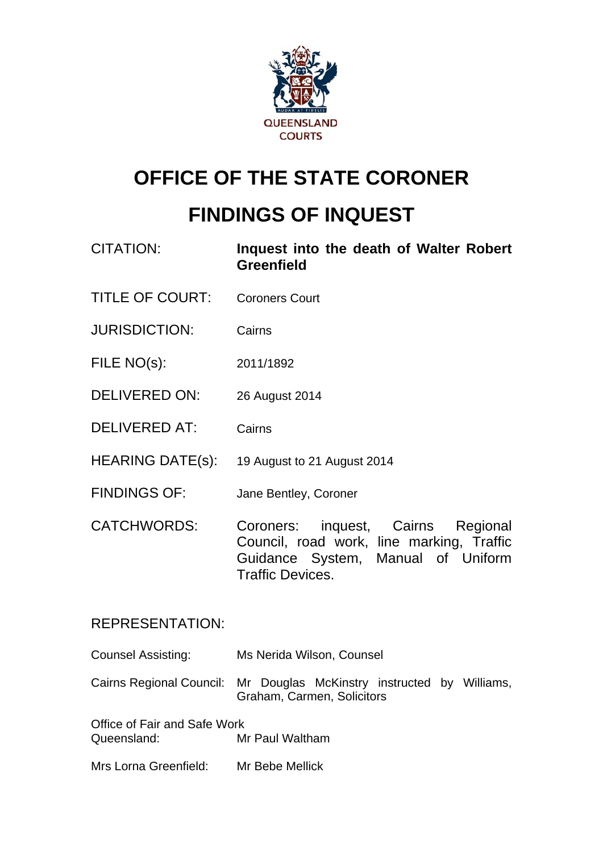

## **OFFICE OF THE STATE CORONER**

# **FINDINGS OF INQUEST**

- CITATION: **Inquest into the death of Walter Robert Greenfield**
- TITLE OF COURT: Coroners Court
- JURISDICTION: Cairns
- FILE NO(s): 2011/1892
- DELIVERED ON: 26 August 2014
- DELIVERED AT: Cairns
- HEARING DATE(s): 19 August to 21 August 2014
- FINDINGS OF: Jane Bentley, Coroner
- CATCHWORDS: Coroners: inquest, Cairns Regional Council, road work, line marking, Traffic Guidance System, Manual of Uniform Traffic Devices.

## REPRESENTATION:

Counsel Assisting: Ms Nerida Wilson, Counsel

Cairns Regional Council: Mr Douglas McKinstry instructed by Williams, Graham, Carmen, Solicitors

Office of Fair and Safe Work Queensland: Mr Paul Waltham

Mrs Lorna Greenfield: Mr Bebe Mellick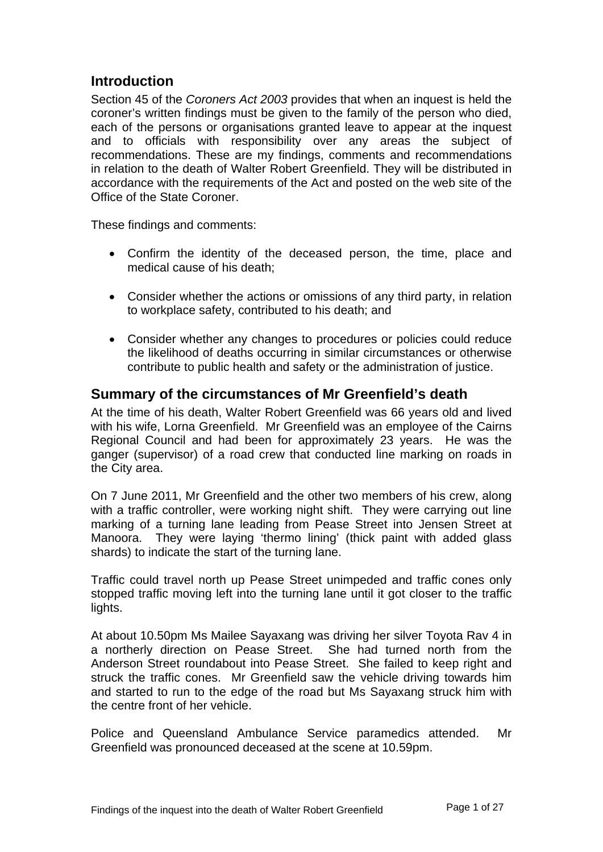## **Introduction**

Section 45 of the *Coroners Act 2003* provides that when an inquest is held the coroner's written findings must be given to the family of the person who died, each of the persons or organisations granted leave to appear at the inquest and to officials with responsibility over any areas the subject of recommendations. These are my findings, comments and recommendations in relation to the death of Walter Robert Greenfield. They will be distributed in accordance with the requirements of the Act and posted on the web site of the Office of the State Coroner.

These findings and comments:

- Confirm the identity of the deceased person, the time, place and medical cause of his death;
- Consider whether the actions or omissions of any third party, in relation to workplace safety, contributed to his death; and
- Consider whether any changes to procedures or policies could reduce the likelihood of deaths occurring in similar circumstances or otherwise contribute to public health and safety or the administration of justice.

#### **Summary of the circumstances of Mr Greenfield's death**

At the time of his death, Walter Robert Greenfield was 66 years old and lived with his wife, Lorna Greenfield. Mr Greenfield was an employee of the Cairns Regional Council and had been for approximately 23 years. He was the ganger (supervisor) of a road crew that conducted line marking on roads in the City area.

On 7 June 2011, Mr Greenfield and the other two members of his crew, along with a traffic controller, were working night shift. They were carrying out line marking of a turning lane leading from Pease Street into Jensen Street at Manoora. They were laying 'thermo lining' (thick paint with added glass shards) to indicate the start of the turning lane.

Traffic could travel north up Pease Street unimpeded and traffic cones only stopped traffic moving left into the turning lane until it got closer to the traffic lights.

At about 10.50pm Ms Mailee Sayaxang was driving her silver Toyota Rav 4 in a northerly direction on Pease Street. She had turned north from the Anderson Street roundabout into Pease Street. She failed to keep right and struck the traffic cones. Mr Greenfield saw the vehicle driving towards him and started to run to the edge of the road but Ms Sayaxang struck him with the centre front of her vehicle.

Police and Queensland Ambulance Service paramedics attended. Mr Greenfield was pronounced deceased at the scene at 10.59pm.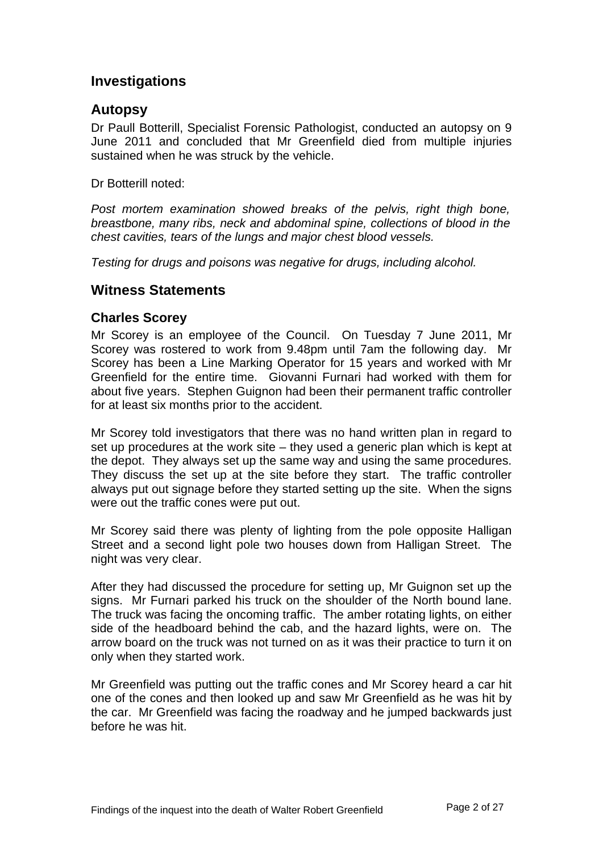## **Investigations**

### **Autopsy**

Dr Paull Botterill, Specialist Forensic Pathologist, conducted an autopsy on 9 June 2011 and concluded that Mr Greenfield died from multiple injuries sustained when he was struck by the vehicle.

Dr Botterill noted:

*Post mortem examination showed breaks of the pelvis, right thigh bone, breastbone, many ribs, neck and abdominal spine, collections of blood in the chest cavities, tears of the lungs and major chest blood vessels.* 

*Testing for drugs and poisons was negative for drugs, including alcohol.* 

## **Witness Statements**

#### **Charles Scorey**

Mr Scorey is an employee of the Council. On Tuesday 7 June 2011, Mr Scorey was rostered to work from 9.48pm until 7am the following day. Mr Scorey has been a Line Marking Operator for 15 years and worked with Mr Greenfield for the entire time. Giovanni Furnari had worked with them for about five years. Stephen Guignon had been their permanent traffic controller for at least six months prior to the accident.

Mr Scorey told investigators that there was no hand written plan in regard to set up procedures at the work site – they used a generic plan which is kept at the depot. They always set up the same way and using the same procedures. They discuss the set up at the site before they start. The traffic controller always put out signage before they started setting up the site. When the signs were out the traffic cones were put out.

Mr Scorey said there was plenty of lighting from the pole opposite Halligan Street and a second light pole two houses down from Halligan Street. The night was very clear.

After they had discussed the procedure for setting up, Mr Guignon set up the signs. Mr Furnari parked his truck on the shoulder of the North bound lane. The truck was facing the oncoming traffic. The amber rotating lights, on either side of the headboard behind the cab, and the hazard lights, were on. The arrow board on the truck was not turned on as it was their practice to turn it on only when they started work.

Mr Greenfield was putting out the traffic cones and Mr Scorey heard a car hit one of the cones and then looked up and saw Mr Greenfield as he was hit by the car. Mr Greenfield was facing the roadway and he jumped backwards just before he was hit.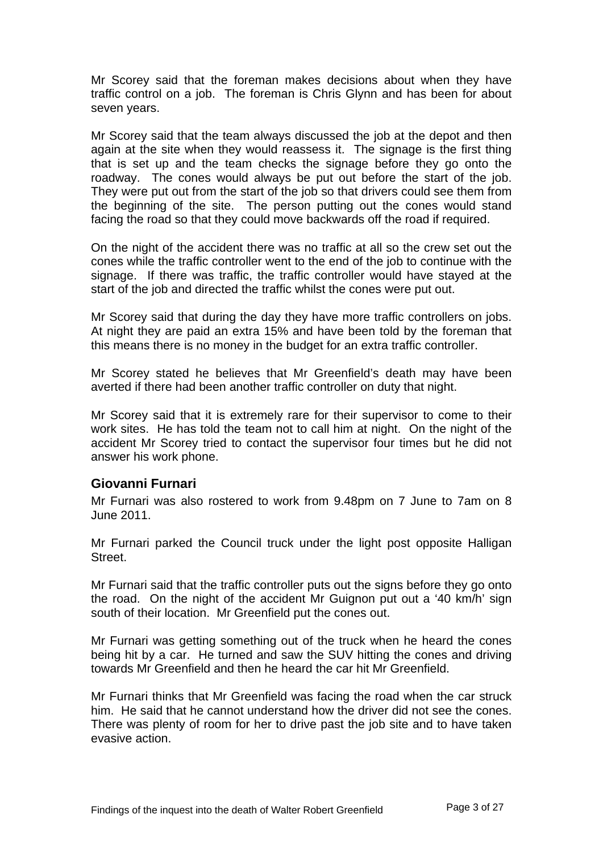Mr Scorey said that the foreman makes decisions about when they have traffic control on a job. The foreman is Chris Glynn and has been for about seven years.

Mr Scorey said that the team always discussed the job at the depot and then again at the site when they would reassess it. The signage is the first thing that is set up and the team checks the signage before they go onto the roadway. The cones would always be put out before the start of the job. They were put out from the start of the job so that drivers could see them from the beginning of the site. The person putting out the cones would stand facing the road so that they could move backwards off the road if required.

On the night of the accident there was no traffic at all so the crew set out the cones while the traffic controller went to the end of the job to continue with the signage. If there was traffic, the traffic controller would have stayed at the start of the job and directed the traffic whilst the cones were put out.

Mr Scorey said that during the day they have more traffic controllers on jobs. At night they are paid an extra 15% and have been told by the foreman that this means there is no money in the budget for an extra traffic controller.

Mr Scorey stated he believes that Mr Greenfield's death may have been averted if there had been another traffic controller on duty that night.

Mr Scorey said that it is extremely rare for their supervisor to come to their work sites. He has told the team not to call him at night. On the night of the accident Mr Scorey tried to contact the supervisor four times but he did not answer his work phone.

#### **Giovanni Furnari**

Mr Furnari was also rostered to work from 9.48pm on 7 June to 7am on 8 June 2011.

Mr Furnari parked the Council truck under the light post opposite Halligan Street.

Mr Furnari said that the traffic controller puts out the signs before they go onto the road. On the night of the accident Mr Guignon put out a '40 km/h' sign south of their location. Mr Greenfield put the cones out.

Mr Furnari was getting something out of the truck when he heard the cones being hit by a car. He turned and saw the SUV hitting the cones and driving towards Mr Greenfield and then he heard the car hit Mr Greenfield.

Mr Furnari thinks that Mr Greenfield was facing the road when the car struck him. He said that he cannot understand how the driver did not see the cones. There was plenty of room for her to drive past the job site and to have taken evasive action.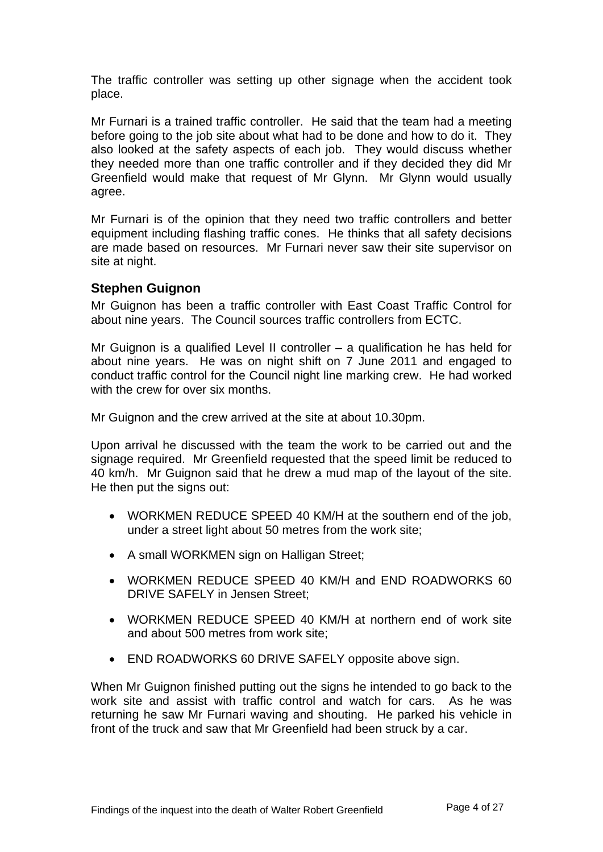The traffic controller was setting up other signage when the accident took place.

Mr Furnari is a trained traffic controller. He said that the team had a meeting before going to the job site about what had to be done and how to do it. They also looked at the safety aspects of each job. They would discuss whether they needed more than one traffic controller and if they decided they did Mr Greenfield would make that request of Mr Glynn. Mr Glynn would usually agree.

Mr Furnari is of the opinion that they need two traffic controllers and better equipment including flashing traffic cones. He thinks that all safety decisions are made based on resources. Mr Furnari never saw their site supervisor on site at night.

#### **Stephen Guignon**

Mr Guignon has been a traffic controller with East Coast Traffic Control for about nine years. The Council sources traffic controllers from ECTC.

Mr Guignon is a qualified Level II controller – a qualification he has held for about nine years. He was on night shift on 7 June 2011 and engaged to conduct traffic control for the Council night line marking crew. He had worked with the crew for over six months.

Mr Guignon and the crew arrived at the site at about 10.30pm.

Upon arrival he discussed with the team the work to be carried out and the signage required. Mr Greenfield requested that the speed limit be reduced to 40 km/h. Mr Guignon said that he drew a mud map of the layout of the site. He then put the signs out:

- WORKMEN REDUCE SPEED 40 KM/H at the southern end of the job, under a street light about 50 metres from the work site;
- A small WORKMEN sign on Halligan Street;
- WORKMEN REDUCE SPEED 40 KM/H and END ROADWORKS 60 DRIVE SAFELY in Jensen Street;
- WORKMEN REDUCE SPEED 40 KM/H at northern end of work site and about 500 metres from work site;
- END ROADWORKS 60 DRIVE SAFELY opposite above sign.

When Mr Guignon finished putting out the signs he intended to go back to the work site and assist with traffic control and watch for cars. As he was returning he saw Mr Furnari waving and shouting. He parked his vehicle in front of the truck and saw that Mr Greenfield had been struck by a car.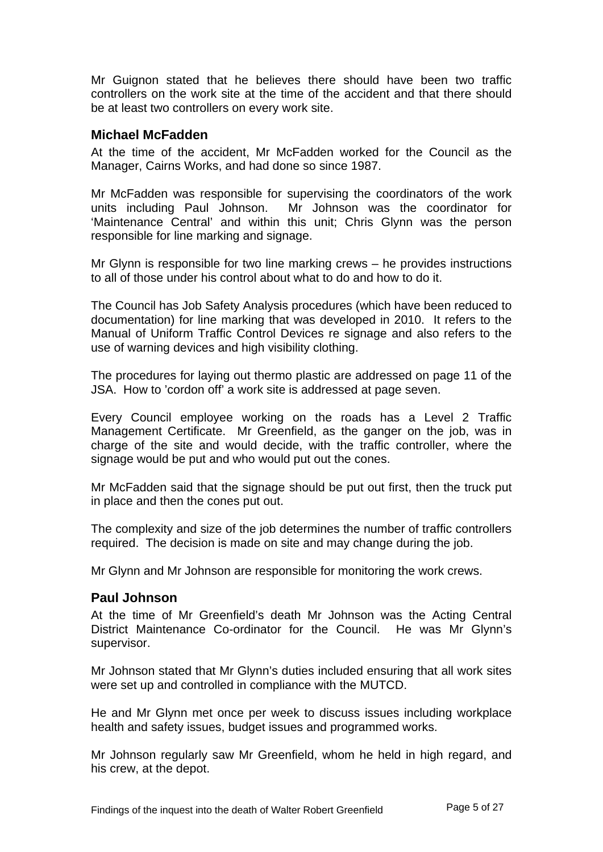Mr Guignon stated that he believes there should have been two traffic controllers on the work site at the time of the accident and that there should be at least two controllers on every work site.

#### **Michael McFadden**

At the time of the accident, Mr McFadden worked for the Council as the Manager, Cairns Works, and had done so since 1987.

Mr McFadden was responsible for supervising the coordinators of the work units including Paul Johnson. Mr Johnson was the coordinator for 'Maintenance Central' and within this unit; Chris Glynn was the person responsible for line marking and signage.

Mr Glynn is responsible for two line marking crews – he provides instructions to all of those under his control about what to do and how to do it.

The Council has Job Safety Analysis procedures (which have been reduced to documentation) for line marking that was developed in 2010. It refers to the Manual of Uniform Traffic Control Devices re signage and also refers to the use of warning devices and high visibility clothing.

The procedures for laying out thermo plastic are addressed on page 11 of the JSA. How to 'cordon off' a work site is addressed at page seven.

Every Council employee working on the roads has a Level 2 Traffic Management Certificate. Mr Greenfield, as the ganger on the job, was in charge of the site and would decide, with the traffic controller, where the signage would be put and who would put out the cones.

Mr McFadden said that the signage should be put out first, then the truck put in place and then the cones put out.

The complexity and size of the job determines the number of traffic controllers required. The decision is made on site and may change during the job.

Mr Glynn and Mr Johnson are responsible for monitoring the work crews.

#### **Paul Johnson**

At the time of Mr Greenfield's death Mr Johnson was the Acting Central District Maintenance Co-ordinator for the Council. He was Mr Glynn's supervisor.

Mr Johnson stated that Mr Glynn's duties included ensuring that all work sites were set up and controlled in compliance with the MUTCD.

He and Mr Glynn met once per week to discuss issues including workplace health and safety issues, budget issues and programmed works.

Mr Johnson regularly saw Mr Greenfield, whom he held in high regard, and his crew, at the depot.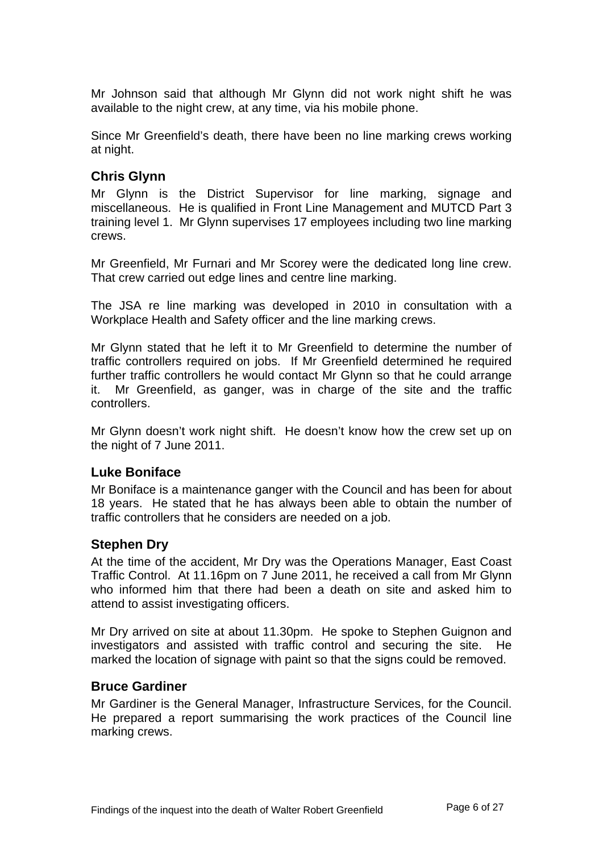Mr Johnson said that although Mr Glynn did not work night shift he was available to the night crew, at any time, via his mobile phone.

Since Mr Greenfield's death, there have been no line marking crews working at night.

#### **Chris Glynn**

Mr Glynn is the District Supervisor for line marking, signage and miscellaneous. He is qualified in Front Line Management and MUTCD Part 3 training level 1. Mr Glynn supervises 17 employees including two line marking crews.

Mr Greenfield, Mr Furnari and Mr Scorey were the dedicated long line crew. That crew carried out edge lines and centre line marking.

The JSA re line marking was developed in 2010 in consultation with a Workplace Health and Safety officer and the line marking crews.

Mr Glynn stated that he left it to Mr Greenfield to determine the number of traffic controllers required on jobs. If Mr Greenfield determined he required further traffic controllers he would contact Mr Glynn so that he could arrange it. Mr Greenfield, as ganger, was in charge of the site and the traffic controllers.

Mr Glynn doesn't work night shift. He doesn't know how the crew set up on the night of 7 June 2011.

#### **Luke Boniface**

Mr Boniface is a maintenance ganger with the Council and has been for about 18 years. He stated that he has always been able to obtain the number of traffic controllers that he considers are needed on a job.

#### **Stephen Dry**

At the time of the accident, Mr Dry was the Operations Manager, East Coast Traffic Control. At 11.16pm on 7 June 2011, he received a call from Mr Glynn who informed him that there had been a death on site and asked him to attend to assist investigating officers.

Mr Dry arrived on site at about 11.30pm. He spoke to Stephen Guignon and investigators and assisted with traffic control and securing the site. He marked the location of signage with paint so that the signs could be removed.

#### **Bruce Gardiner**

Mr Gardiner is the General Manager, Infrastructure Services, for the Council. He prepared a report summarising the work practices of the Council line marking crews.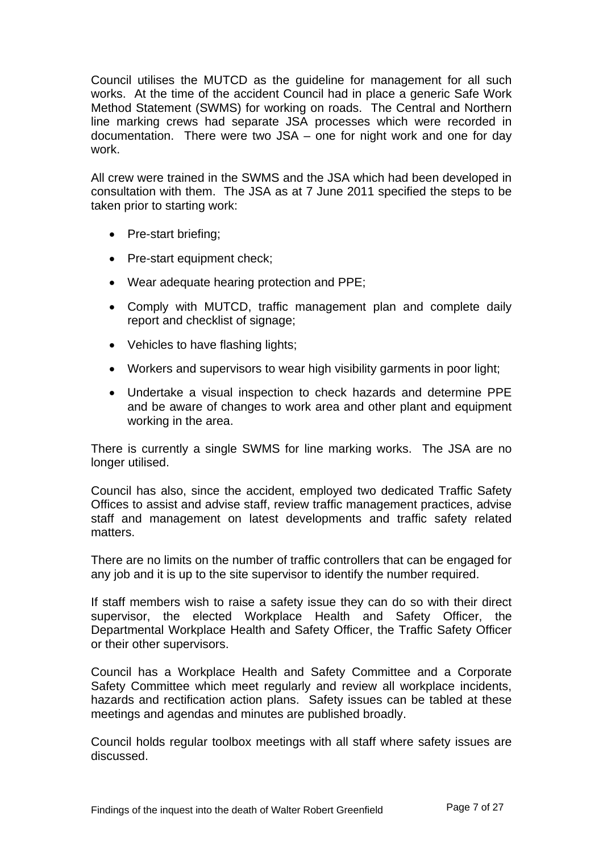Council utilises the MUTCD as the guideline for management for all such works. At the time of the accident Council had in place a generic Safe Work Method Statement (SWMS) for working on roads. The Central and Northern line marking crews had separate JSA processes which were recorded in documentation. There were two JSA – one for night work and one for day work.

All crew were trained in the SWMS and the JSA which had been developed in consultation with them. The JSA as at 7 June 2011 specified the steps to be taken prior to starting work:

- Pre-start briefing;
- Pre-start equipment check;
- Wear adequate hearing protection and PPE;
- Comply with MUTCD, traffic management plan and complete daily report and checklist of signage;
- Vehicles to have flashing lights;
- Workers and supervisors to wear high visibility garments in poor light;
- Undertake a visual inspection to check hazards and determine PPE and be aware of changes to work area and other plant and equipment working in the area.

There is currently a single SWMS for line marking works. The JSA are no longer utilised.

Council has also, since the accident, employed two dedicated Traffic Safety Offices to assist and advise staff, review traffic management practices, advise staff and management on latest developments and traffic safety related matters.

There are no limits on the number of traffic controllers that can be engaged for any job and it is up to the site supervisor to identify the number required.

If staff members wish to raise a safety issue they can do so with their direct supervisor, the elected Workplace Health and Safety Officer, the Departmental Workplace Health and Safety Officer, the Traffic Safety Officer or their other supervisors.

Council has a Workplace Health and Safety Committee and a Corporate Safety Committee which meet regularly and review all workplace incidents, hazards and rectification action plans. Safety issues can be tabled at these meetings and agendas and minutes are published broadly.

Council holds regular toolbox meetings with all staff where safety issues are discussed.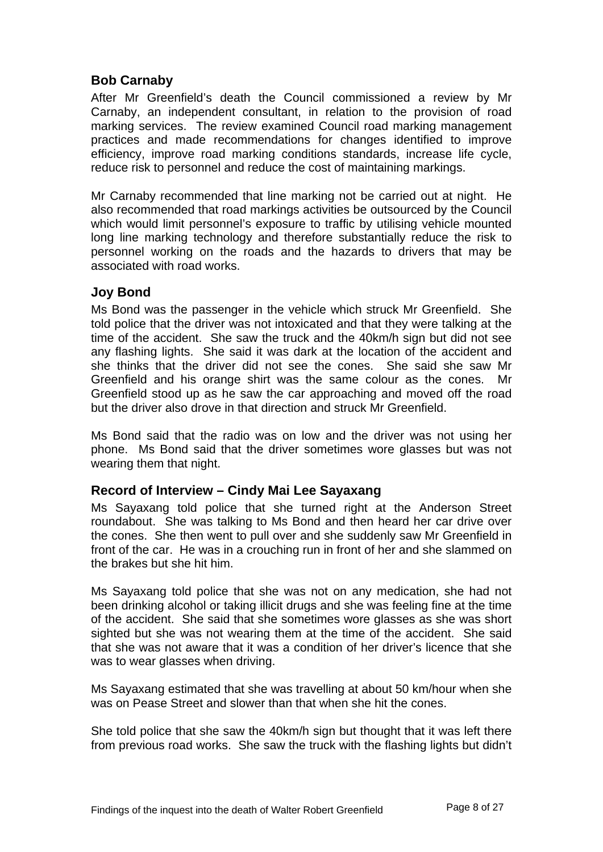#### **Bob Carnaby**

After Mr Greenfield's death the Council commissioned a review by Mr Carnaby, an independent consultant, in relation to the provision of road marking services. The review examined Council road marking management practices and made recommendations for changes identified to improve efficiency, improve road marking conditions standards, increase life cycle, reduce risk to personnel and reduce the cost of maintaining markings.

Mr Carnaby recommended that line marking not be carried out at night. He also recommended that road markings activities be outsourced by the Council which would limit personnel's exposure to traffic by utilising vehicle mounted long line marking technology and therefore substantially reduce the risk to personnel working on the roads and the hazards to drivers that may be associated with road works.

#### **Joy Bond**

Ms Bond was the passenger in the vehicle which struck Mr Greenfield. She told police that the driver was not intoxicated and that they were talking at the time of the accident. She saw the truck and the 40km/h sign but did not see any flashing lights. She said it was dark at the location of the accident and she thinks that the driver did not see the cones. She said she saw Mr Greenfield and his orange shirt was the same colour as the cones. Mr Greenfield stood up as he saw the car approaching and moved off the road but the driver also drove in that direction and struck Mr Greenfield.

Ms Bond said that the radio was on low and the driver was not using her phone. Ms Bond said that the driver sometimes wore glasses but was not wearing them that night.

#### **Record of Interview – Cindy Mai Lee Sayaxang**

Ms Sayaxang told police that she turned right at the Anderson Street roundabout. She was talking to Ms Bond and then heard her car drive over the cones. She then went to pull over and she suddenly saw Mr Greenfield in front of the car. He was in a crouching run in front of her and she slammed on the brakes but she hit him.

Ms Sayaxang told police that she was not on any medication, she had not been drinking alcohol or taking illicit drugs and she was feeling fine at the time of the accident. She said that she sometimes wore glasses as she was short sighted but she was not wearing them at the time of the accident. She said that she was not aware that it was a condition of her driver's licence that she was to wear glasses when driving.

Ms Sayaxang estimated that she was travelling at about 50 km/hour when she was on Pease Street and slower than that when she hit the cones.

She told police that she saw the 40km/h sign but thought that it was left there from previous road works. She saw the truck with the flashing lights but didn't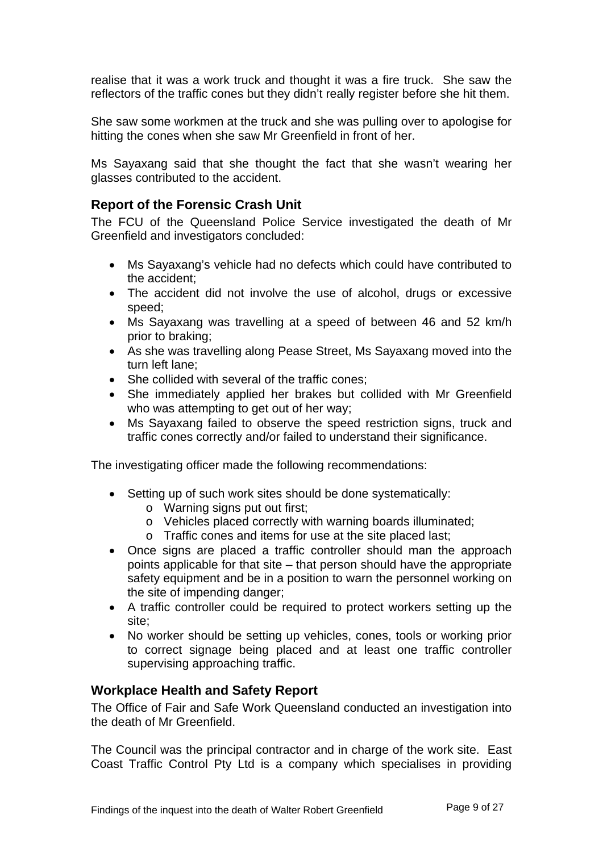realise that it was a work truck and thought it was a fire truck. She saw the reflectors of the traffic cones but they didn't really register before she hit them.

She saw some workmen at the truck and she was pulling over to apologise for hitting the cones when she saw Mr Greenfield in front of her.

Ms Sayaxang said that she thought the fact that she wasn't wearing her glasses contributed to the accident.

#### **Report of the Forensic Crash Unit**

The FCU of the Queensland Police Service investigated the death of Mr Greenfield and investigators concluded:

- Ms Sayaxang's vehicle had no defects which could have contributed to the accident;
- The accident did not involve the use of alcohol, drugs or excessive speed;
- Ms Sayaxang was travelling at a speed of between 46 and 52 km/h prior to braking;
- As she was travelling along Pease Street, Ms Sayaxang moved into the turn left lane;
- She collided with several of the traffic cones;
- She immediately applied her brakes but collided with Mr Greenfield who was attempting to get out of her way;
- Ms Sayaxang failed to observe the speed restriction signs, truck and traffic cones correctly and/or failed to understand their significance.

The investigating officer made the following recommendations:

- Setting up of such work sites should be done systematically:
	- o Warning signs put out first;
	- o Vehicles placed correctly with warning boards illuminated;
	- o Traffic cones and items for use at the site placed last;
- Once signs are placed a traffic controller should man the approach points applicable for that site – that person should have the appropriate safety equipment and be in a position to warn the personnel working on the site of impending danger;
- A traffic controller could be required to protect workers setting up the site;
- No worker should be setting up vehicles, cones, tools or working prior to correct signage being placed and at least one traffic controller supervising approaching traffic.

#### **Workplace Health and Safety Report**

The Office of Fair and Safe Work Queensland conducted an investigation into the death of Mr Greenfield.

The Council was the principal contractor and in charge of the work site. East Coast Traffic Control Pty Ltd is a company which specialises in providing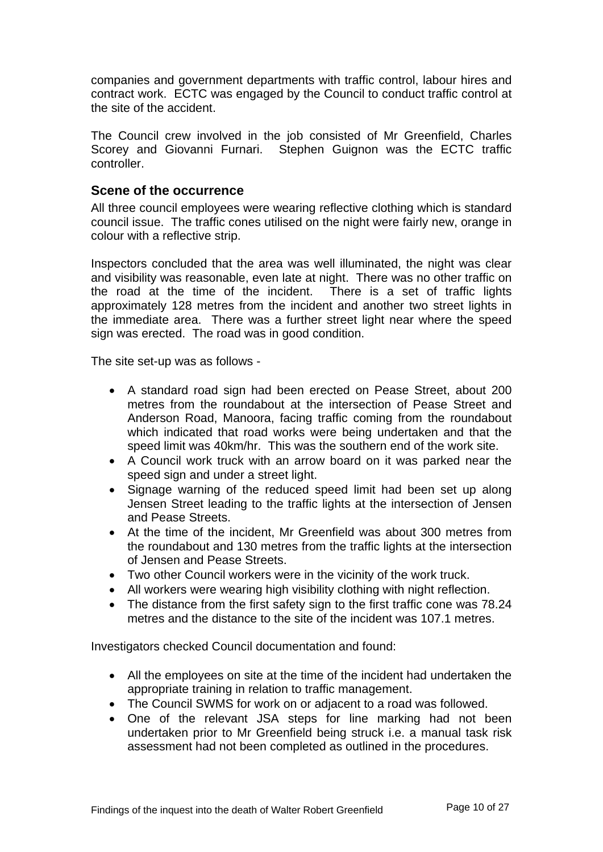companies and government departments with traffic control, labour hires and contract work. ECTC was engaged by the Council to conduct traffic control at the site of the accident.

The Council crew involved in the job consisted of Mr Greenfield, Charles Scorey and Giovanni Furnari. Stephen Guignon was the ECTC traffic controller.

#### **Scene of the occurrence**

All three council employees were wearing reflective clothing which is standard council issue. The traffic cones utilised on the night were fairly new, orange in colour with a reflective strip.

Inspectors concluded that the area was well illuminated, the night was clear and visibility was reasonable, even late at night. There was no other traffic on the road at the time of the incident. There is a set of traffic lights approximately 128 metres from the incident and another two street lights in the immediate area. There was a further street light near where the speed sign was erected. The road was in good condition.

The site set-up was as follows -

- A standard road sign had been erected on Pease Street, about 200 metres from the roundabout at the intersection of Pease Street and Anderson Road, Manoora, facing traffic coming from the roundabout which indicated that road works were being undertaken and that the speed limit was 40km/hr. This was the southern end of the work site.
- A Council work truck with an arrow board on it was parked near the speed sign and under a street light.
- Signage warning of the reduced speed limit had been set up along Jensen Street leading to the traffic lights at the intersection of Jensen and Pease Streets.
- At the time of the incident, Mr Greenfield was about 300 metres from the roundabout and 130 metres from the traffic lights at the intersection of Jensen and Pease Streets.
- Two other Council workers were in the vicinity of the work truck.
- All workers were wearing high visibility clothing with night reflection.
- The distance from the first safety sign to the first traffic cone was 78.24 metres and the distance to the site of the incident was 107.1 metres.

Investigators checked Council documentation and found:

- All the employees on site at the time of the incident had undertaken the appropriate training in relation to traffic management.
- The Council SWMS for work on or adjacent to a road was followed.
- One of the relevant JSA steps for line marking had not been undertaken prior to Mr Greenfield being struck i.e. a manual task risk assessment had not been completed as outlined in the procedures.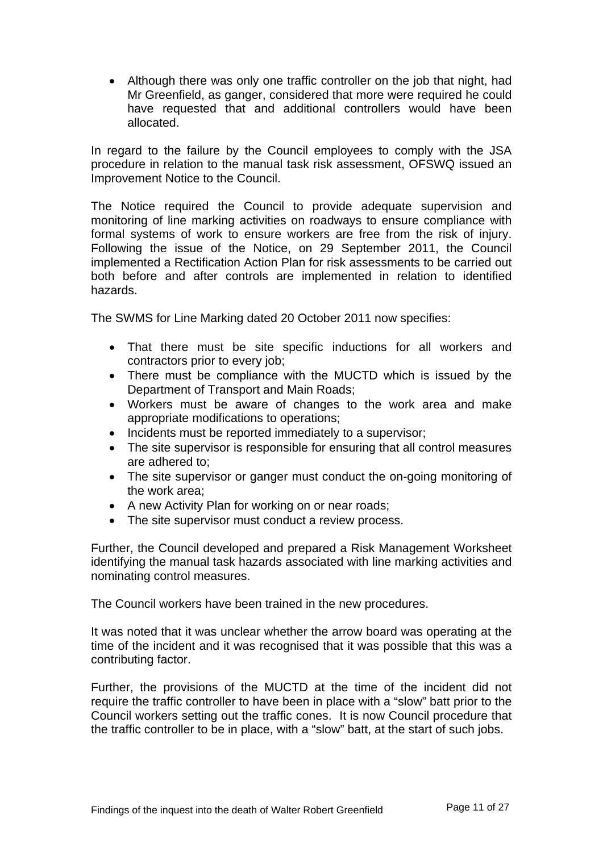• Although there was only one traffic controller on the job that night, had Mr Greenfield, as ganger, considered that more were required he could have requested that and additional controllers would have been allocated.

In regard to the failure by the Council employees to comply with the JSA procedure in relation to the manual task risk assessment, OFSWQ issued an Improvement Notice to the Council.

The Notice required the Council to provide adequate supervision and monitoring of line marking activities on roadways to ensure compliance with formal systems of work to ensure workers are free from the risk of injury. Following the issue of the Notice, on 29 September 2011, the Council implemented a Rectification Action Plan for risk assessments to be carried out both before and after controls are implemented in relation to identified hazards.

The SWMS for Line Marking dated 20 October 2011 now specifies:

- That there must be site specific inductions for all workers and contractors prior to every job;
- There must be compliance with the MUCTD which is issued by the Department of Transport and Main Roads;
- Workers must be aware of changes to the work area and make appropriate modifications to operations;
- Incidents must be reported immediately to a supervisor:
- The site supervisor is responsible for ensuring that all control measures are adhered to;
- The site supervisor or ganger must conduct the on-going monitoring of the work area;
- A new Activity Plan for working on or near roads;
- The site supervisor must conduct a review process.

Further, the Council developed and prepared a Risk Management Worksheet identifying the manual task hazards associated with line marking activities and nominating control measures.

The Council workers have been trained in the new procedures.

It was noted that it was unclear whether the arrow board was operating at the time of the incident and it was recognised that it was possible that this was a contributing factor.

Further, the provisions of the MUCTD at the time of the incident did not require the traffic controller to have been in place with a "slow" batt prior to the Council workers setting out the traffic cones. It is now Council procedure that the traffic controller to be in place, with a "slow" batt, at the start of such jobs.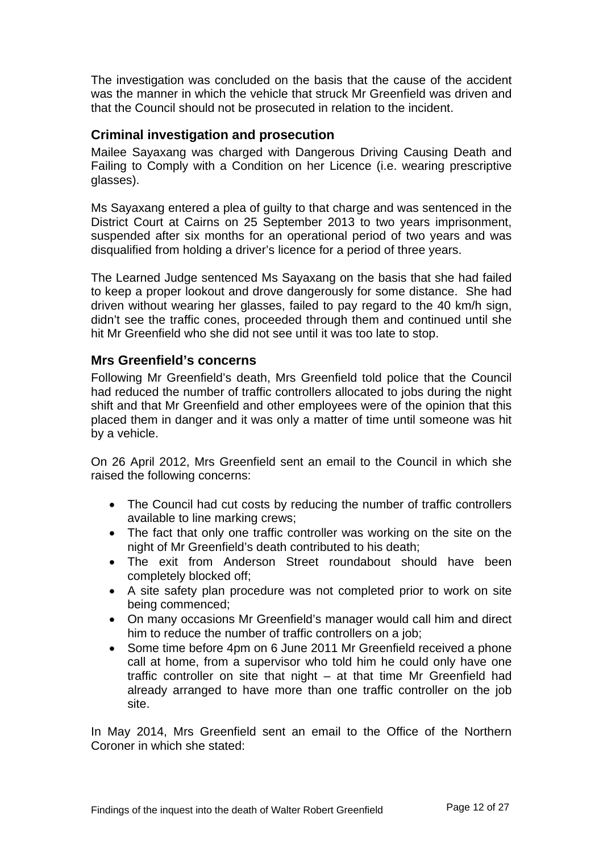The investigation was concluded on the basis that the cause of the accident was the manner in which the vehicle that struck Mr Greenfield was driven and that the Council should not be prosecuted in relation to the incident.

#### **Criminal investigation and prosecution**

Mailee Sayaxang was charged with Dangerous Driving Causing Death and Failing to Comply with a Condition on her Licence (i.e. wearing prescriptive glasses).

Ms Sayaxang entered a plea of guilty to that charge and was sentenced in the District Court at Cairns on 25 September 2013 to two years imprisonment, suspended after six months for an operational period of two years and was disqualified from holding a driver's licence for a period of three years.

The Learned Judge sentenced Ms Sayaxang on the basis that she had failed to keep a proper lookout and drove dangerously for some distance. She had driven without wearing her glasses, failed to pay regard to the 40 km/h sign, didn't see the traffic cones, proceeded through them and continued until she hit Mr Greenfield who she did not see until it was too late to stop.

#### **Mrs Greenfield's concerns**

Following Mr Greenfield's death, Mrs Greenfield told police that the Council had reduced the number of traffic controllers allocated to jobs during the night shift and that Mr Greenfield and other employees were of the opinion that this placed them in danger and it was only a matter of time until someone was hit by a vehicle.

On 26 April 2012, Mrs Greenfield sent an email to the Council in which she raised the following concerns:

- The Council had cut costs by reducing the number of traffic controllers available to line marking crews;
- The fact that only one traffic controller was working on the site on the night of Mr Greenfield's death contributed to his death;
- The exit from Anderson Street roundabout should have been completely blocked off;
- A site safety plan procedure was not completed prior to work on site being commenced;
- On many occasions Mr Greenfield's manager would call him and direct him to reduce the number of traffic controllers on a job;
- Some time before 4pm on 6 June 2011 Mr Greenfield received a phone call at home, from a supervisor who told him he could only have one traffic controller on site that night – at that time Mr Greenfield had already arranged to have more than one traffic controller on the job site.

In May 2014, Mrs Greenfield sent an email to the Office of the Northern Coroner in which she stated: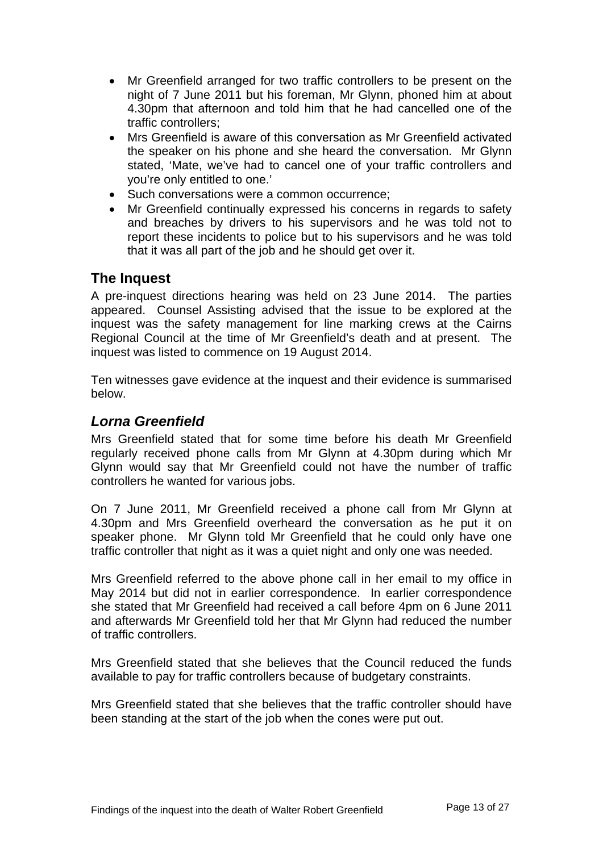- Mr Greenfield arranged for two traffic controllers to be present on the night of 7 June 2011 but his foreman, Mr Glynn, phoned him at about 4.30pm that afternoon and told him that he had cancelled one of the traffic controllers;
- Mrs Greenfield is aware of this conversation as Mr Greenfield activated the speaker on his phone and she heard the conversation. Mr Glynn stated, 'Mate, we've had to cancel one of your traffic controllers and you're only entitled to one.'
- Such conversations were a common occurrence;
- Mr Greenfield continually expressed his concerns in regards to safety and breaches by drivers to his supervisors and he was told not to report these incidents to police but to his supervisors and he was told that it was all part of the job and he should get over it.

## **The Inquest**

A pre-inquest directions hearing was held on 23 June 2014. The parties appeared. Counsel Assisting advised that the issue to be explored at the inquest was the safety management for line marking crews at the Cairns Regional Council at the time of Mr Greenfield's death and at present. The inquest was listed to commence on 19 August 2014.

Ten witnesses gave evidence at the inquest and their evidence is summarised below.

## *Lorna Greenfield*

Mrs Greenfield stated that for some time before his death Mr Greenfield regularly received phone calls from Mr Glynn at 4.30pm during which Mr Glynn would say that Mr Greenfield could not have the number of traffic controllers he wanted for various jobs.

On 7 June 2011, Mr Greenfield received a phone call from Mr Glynn at 4.30pm and Mrs Greenfield overheard the conversation as he put it on speaker phone. Mr Glynn told Mr Greenfield that he could only have one traffic controller that night as it was a quiet night and only one was needed.

Mrs Greenfield referred to the above phone call in her email to my office in May 2014 but did not in earlier correspondence. In earlier correspondence she stated that Mr Greenfield had received a call before 4pm on 6 June 2011 and afterwards Mr Greenfield told her that Mr Glynn had reduced the number of traffic controllers.

Mrs Greenfield stated that she believes that the Council reduced the funds available to pay for traffic controllers because of budgetary constraints.

Mrs Greenfield stated that she believes that the traffic controller should have been standing at the start of the job when the cones were put out.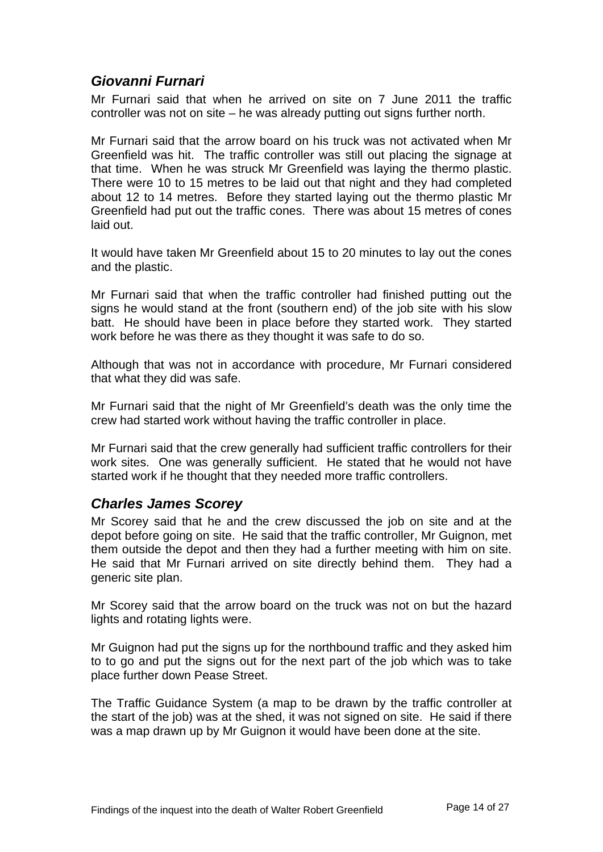## *Giovanni Furnari*

Mr Furnari said that when he arrived on site on 7 June 2011 the traffic controller was not on site – he was already putting out signs further north.

Mr Furnari said that the arrow board on his truck was not activated when Mr Greenfield was hit. The traffic controller was still out placing the signage at that time. When he was struck Mr Greenfield was laying the thermo plastic. There were 10 to 15 metres to be laid out that night and they had completed about 12 to 14 metres. Before they started laying out the thermo plastic Mr Greenfield had put out the traffic cones. There was about 15 metres of cones laid out.

It would have taken Mr Greenfield about 15 to 20 minutes to lay out the cones and the plastic.

Mr Furnari said that when the traffic controller had finished putting out the signs he would stand at the front (southern end) of the job site with his slow batt. He should have been in place before they started work. They started work before he was there as they thought it was safe to do so.

Although that was not in accordance with procedure, Mr Furnari considered that what they did was safe.

Mr Furnari said that the night of Mr Greenfield's death was the only time the crew had started work without having the traffic controller in place.

Mr Furnari said that the crew generally had sufficient traffic controllers for their work sites. One was generally sufficient. He stated that he would not have started work if he thought that they needed more traffic controllers.

## *Charles James Scorey*

Mr Scorey said that he and the crew discussed the job on site and at the depot before going on site. He said that the traffic controller, Mr Guignon, met them outside the depot and then they had a further meeting with him on site. He said that Mr Furnari arrived on site directly behind them. They had a generic site plan.

Mr Scorey said that the arrow board on the truck was not on but the hazard lights and rotating lights were.

Mr Guignon had put the signs up for the northbound traffic and they asked him to to go and put the signs out for the next part of the job which was to take place further down Pease Street.

The Traffic Guidance System (a map to be drawn by the traffic controller at the start of the job) was at the shed, it was not signed on site. He said if there was a map drawn up by Mr Guignon it would have been done at the site.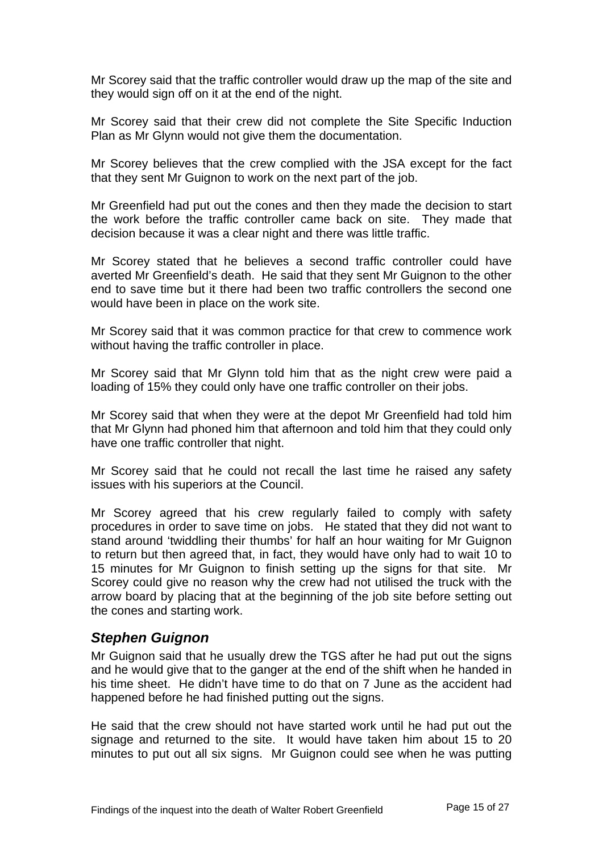Mr Scorey said that the traffic controller would draw up the map of the site and they would sign off on it at the end of the night.

Mr Scorey said that their crew did not complete the Site Specific Induction Plan as Mr Glynn would not give them the documentation.

Mr Scorey believes that the crew complied with the JSA except for the fact that they sent Mr Guignon to work on the next part of the job.

Mr Greenfield had put out the cones and then they made the decision to start the work before the traffic controller came back on site. They made that decision because it was a clear night and there was little traffic.

Mr Scorey stated that he believes a second traffic controller could have averted Mr Greenfield's death. He said that they sent Mr Guignon to the other end to save time but it there had been two traffic controllers the second one would have been in place on the work site.

Mr Scorey said that it was common practice for that crew to commence work without having the traffic controller in place.

Mr Scorey said that Mr Glynn told him that as the night crew were paid a loading of 15% they could only have one traffic controller on their jobs.

Mr Scorey said that when they were at the depot Mr Greenfield had told him that Mr Glynn had phoned him that afternoon and told him that they could only have one traffic controller that night.

Mr Scorey said that he could not recall the last time he raised any safety issues with his superiors at the Council.

Mr Scorey agreed that his crew regularly failed to comply with safety procedures in order to save time on jobs. He stated that they did not want to stand around 'twiddling their thumbs' for half an hour waiting for Mr Guignon to return but then agreed that, in fact, they would have only had to wait 10 to 15 minutes for Mr Guignon to finish setting up the signs for that site. Mr Scorey could give no reason why the crew had not utilised the truck with the arrow board by placing that at the beginning of the job site before setting out the cones and starting work.

#### *Stephen Guignon*

Mr Guignon said that he usually drew the TGS after he had put out the signs and he would give that to the ganger at the end of the shift when he handed in his time sheet. He didn't have time to do that on 7 June as the accident had happened before he had finished putting out the signs.

He said that the crew should not have started work until he had put out the signage and returned to the site. It would have taken him about 15 to 20 minutes to put out all six signs. Mr Guignon could see when he was putting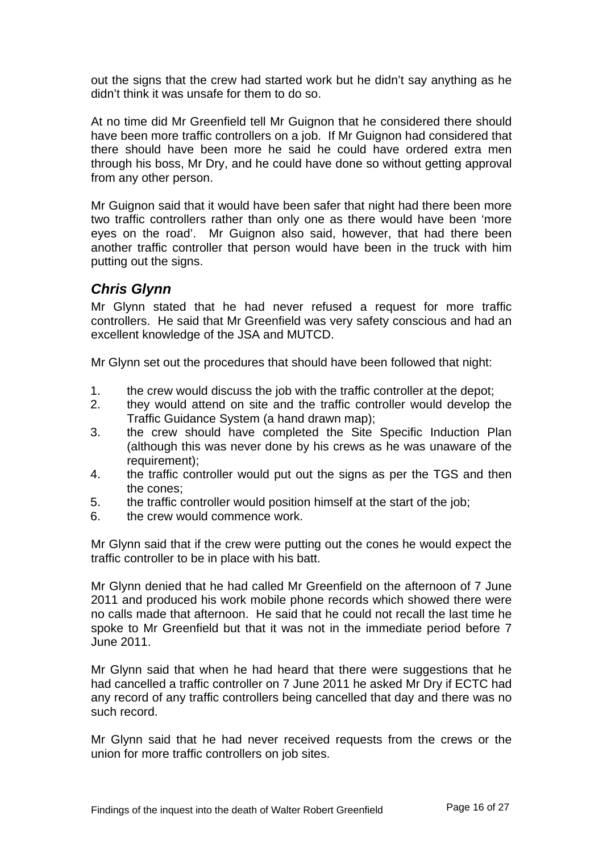out the signs that the crew had started work but he didn't say anything as he didn't think it was unsafe for them to do so.

At no time did Mr Greenfield tell Mr Guignon that he considered there should have been more traffic controllers on a job. If Mr Guignon had considered that there should have been more he said he could have ordered extra men through his boss, Mr Dry, and he could have done so without getting approval from any other person.

Mr Guignon said that it would have been safer that night had there been more two traffic controllers rather than only one as there would have been 'more eyes on the road'. Mr Guignon also said, however, that had there been another traffic controller that person would have been in the truck with him putting out the signs.

## *Chris Glynn*

Mr Glynn stated that he had never refused a request for more traffic controllers. He said that Mr Greenfield was very safety conscious and had an excellent knowledge of the JSA and MUTCD.

Mr Glynn set out the procedures that should have been followed that night:

- 1. the crew would discuss the job with the traffic controller at the depot;
- 2. they would attend on site and the traffic controller would develop the Traffic Guidance System (a hand drawn map);
- 3. the crew should have completed the Site Specific Induction Plan (although this was never done by his crews as he was unaware of the requirement);
- 4. the traffic controller would put out the signs as per the TGS and then the cones;
- 5. the traffic controller would position himself at the start of the job;
- 6. the crew would commence work.

Mr Glynn said that if the crew were putting out the cones he would expect the traffic controller to be in place with his batt.

Mr Glynn denied that he had called Mr Greenfield on the afternoon of 7 June 2011 and produced his work mobile phone records which showed there were no calls made that afternoon. He said that he could not recall the last time he spoke to Mr Greenfield but that it was not in the immediate period before 7 June 2011.

Mr Glynn said that when he had heard that there were suggestions that he had cancelled a traffic controller on 7 June 2011 he asked Mr Dry if ECTC had any record of any traffic controllers being cancelled that day and there was no such record.

Mr Glynn said that he had never received requests from the crews or the union for more traffic controllers on job sites.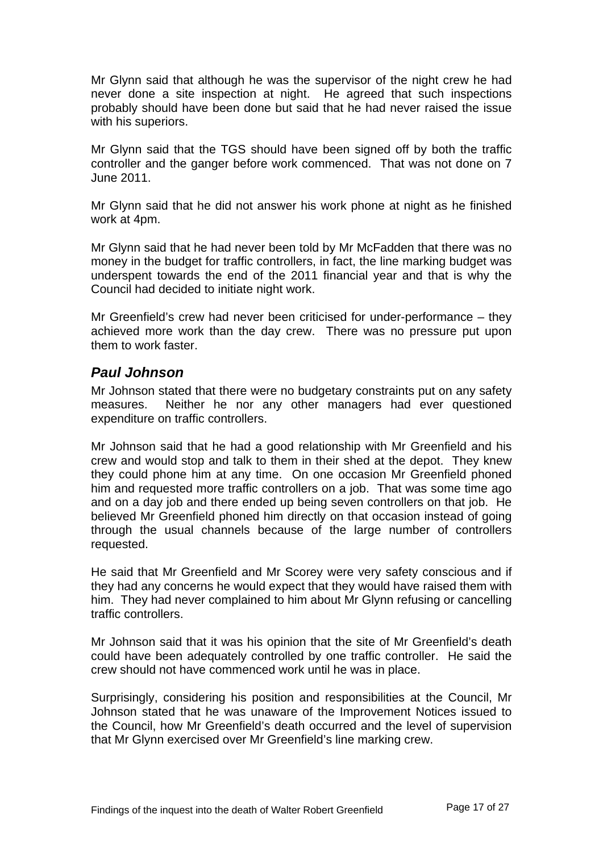Mr Glynn said that although he was the supervisor of the night crew he had never done a site inspection at night. He agreed that such inspections probably should have been done but said that he had never raised the issue with his superiors.

Mr Glynn said that the TGS should have been signed off by both the traffic controller and the ganger before work commenced. That was not done on 7 June 2011.

Mr Glynn said that he did not answer his work phone at night as he finished work at 4pm.

Mr Glynn said that he had never been told by Mr McFadden that there was no money in the budget for traffic controllers, in fact, the line marking budget was underspent towards the end of the 2011 financial year and that is why the Council had decided to initiate night work.

Mr Greenfield's crew had never been criticised for under-performance – they achieved more work than the day crew. There was no pressure put upon them to work faster.

#### *Paul Johnson*

Mr Johnson stated that there were no budgetary constraints put on any safety measures. Neither he nor any other managers had ever questioned expenditure on traffic controllers.

Mr Johnson said that he had a good relationship with Mr Greenfield and his crew and would stop and talk to them in their shed at the depot. They knew they could phone him at any time. On one occasion Mr Greenfield phoned him and requested more traffic controllers on a job. That was some time ago and on a day job and there ended up being seven controllers on that job. He believed Mr Greenfield phoned him directly on that occasion instead of going through the usual channels because of the large number of controllers requested.

He said that Mr Greenfield and Mr Scorey were very safety conscious and if they had any concerns he would expect that they would have raised them with him. They had never complained to him about Mr Glynn refusing or cancelling traffic controllers.

Mr Johnson said that it was his opinion that the site of Mr Greenfield's death could have been adequately controlled by one traffic controller. He said the crew should not have commenced work until he was in place.

Surprisingly, considering his position and responsibilities at the Council, Mr Johnson stated that he was unaware of the Improvement Notices issued to the Council, how Mr Greenfield's death occurred and the level of supervision that Mr Glynn exercised over Mr Greenfield's line marking crew.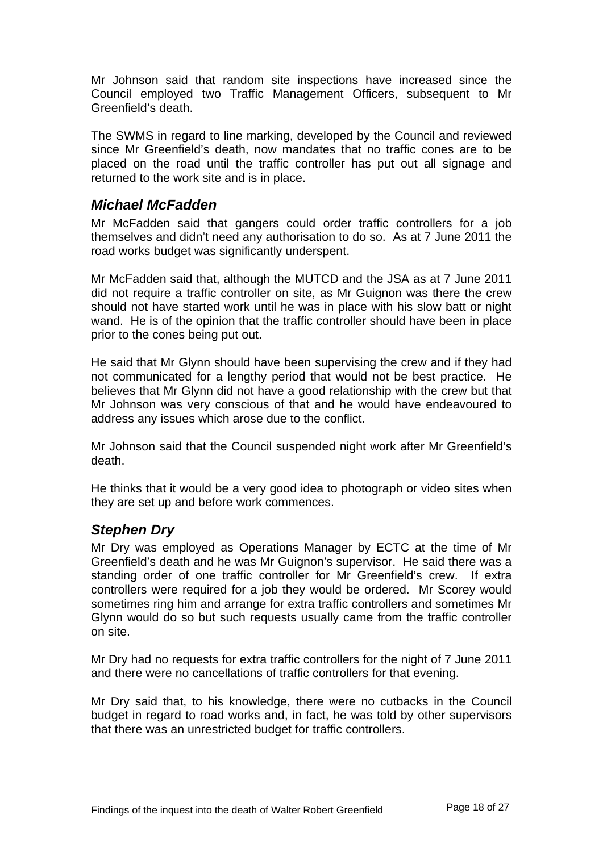Mr Johnson said that random site inspections have increased since the Council employed two Traffic Management Officers, subsequent to Mr Greenfield's death.

The SWMS in regard to line marking, developed by the Council and reviewed since Mr Greenfield's death, now mandates that no traffic cones are to be placed on the road until the traffic controller has put out all signage and returned to the work site and is in place.

## *Michael McFadden*

Mr McFadden said that gangers could order traffic controllers for a job themselves and didn't need any authorisation to do so. As at 7 June 2011 the road works budget was significantly underspent.

Mr McFadden said that, although the MUTCD and the JSA as at 7 June 2011 did not require a traffic controller on site, as Mr Guignon was there the crew should not have started work until he was in place with his slow batt or night wand. He is of the opinion that the traffic controller should have been in place prior to the cones being put out.

He said that Mr Glynn should have been supervising the crew and if they had not communicated for a lengthy period that would not be best practice. He believes that Mr Glynn did not have a good relationship with the crew but that Mr Johnson was very conscious of that and he would have endeavoured to address any issues which arose due to the conflict.

Mr Johnson said that the Council suspended night work after Mr Greenfield's death.

He thinks that it would be a very good idea to photograph or video sites when they are set up and before work commences.

## *Stephen Dry*

Mr Dry was employed as Operations Manager by ECTC at the time of Mr Greenfield's death and he was Mr Guignon's supervisor. He said there was a standing order of one traffic controller for Mr Greenfield's crew. If extra controllers were required for a job they would be ordered. Mr Scorey would sometimes ring him and arrange for extra traffic controllers and sometimes Mr Glynn would do so but such requests usually came from the traffic controller on site.

Mr Dry had no requests for extra traffic controllers for the night of 7 June 2011 and there were no cancellations of traffic controllers for that evening.

Mr Dry said that, to his knowledge, there were no cutbacks in the Council budget in regard to road works and, in fact, he was told by other supervisors that there was an unrestricted budget for traffic controllers.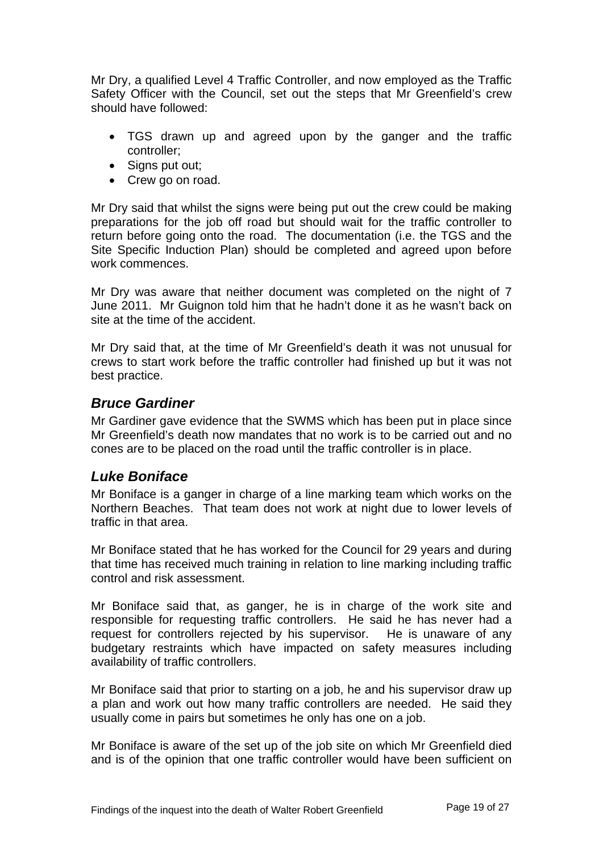Mr Dry, a qualified Level 4 Traffic Controller, and now employed as the Traffic Safety Officer with the Council, set out the steps that Mr Greenfield's crew should have followed:

- TGS drawn up and agreed upon by the ganger and the traffic controller;
- Signs put out;
- Crew go on road.

Mr Dry said that whilst the signs were being put out the crew could be making preparations for the job off road but should wait for the traffic controller to return before going onto the road. The documentation (i.e. the TGS and the Site Specific Induction Plan) should be completed and agreed upon before work commences.

Mr Dry was aware that neither document was completed on the night of 7 June 2011. Mr Guignon told him that he hadn't done it as he wasn't back on site at the time of the accident.

Mr Dry said that, at the time of Mr Greenfield's death it was not unusual for crews to start work before the traffic controller had finished up but it was not best practice.

#### *Bruce Gardiner*

Mr Gardiner gave evidence that the SWMS which has been put in place since Mr Greenfield's death now mandates that no work is to be carried out and no cones are to be placed on the road until the traffic controller is in place.

#### *Luke Boniface*

Mr Boniface is a ganger in charge of a line marking team which works on the Northern Beaches. That team does not work at night due to lower levels of traffic in that area.

Mr Boniface stated that he has worked for the Council for 29 years and during that time has received much training in relation to line marking including traffic control and risk assessment.

Mr Boniface said that, as ganger, he is in charge of the work site and responsible for requesting traffic controllers. He said he has never had a request for controllers rejected by his supervisor. He is unaware of any budgetary restraints which have impacted on safety measures including availability of traffic controllers.

Mr Boniface said that prior to starting on a job, he and his supervisor draw up a plan and work out how many traffic controllers are needed. He said they usually come in pairs but sometimes he only has one on a job.

Mr Boniface is aware of the set up of the job site on which Mr Greenfield died and is of the opinion that one traffic controller would have been sufficient on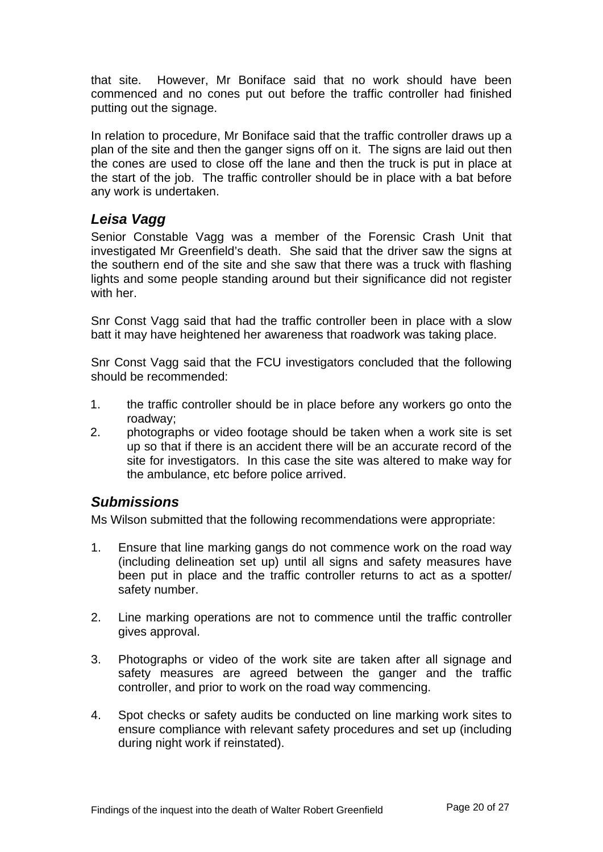that site. However, Mr Boniface said that no work should have been commenced and no cones put out before the traffic controller had finished putting out the signage.

In relation to procedure, Mr Boniface said that the traffic controller draws up a plan of the site and then the ganger signs off on it. The signs are laid out then the cones are used to close off the lane and then the truck is put in place at the start of the job. The traffic controller should be in place with a bat before any work is undertaken.

## *Leisa Vagg*

Senior Constable Vagg was a member of the Forensic Crash Unit that investigated Mr Greenfield's death. She said that the driver saw the signs at the southern end of the site and she saw that there was a truck with flashing lights and some people standing around but their significance did not register with her.

Snr Const Vagg said that had the traffic controller been in place with a slow batt it may have heightened her awareness that roadwork was taking place.

Snr Const Vagg said that the FCU investigators concluded that the following should be recommended:

- 1. the traffic controller should be in place before any workers go onto the roadway;
- 2. photographs or video footage should be taken when a work site is set up so that if there is an accident there will be an accurate record of the site for investigators. In this case the site was altered to make way for the ambulance, etc before police arrived.

## *Submissions*

Ms Wilson submitted that the following recommendations were appropriate:

- 1. Ensure that line marking gangs do not commence work on the road way (including delineation set up) until all signs and safety measures have been put in place and the traffic controller returns to act as a spotter/ safety number.
- 2. Line marking operations are not to commence until the traffic controller gives approval.
- 3. Photographs or video of the work site are taken after all signage and safety measures are agreed between the ganger and the traffic controller, and prior to work on the road way commencing.
- 4. Spot checks or safety audits be conducted on line marking work sites to ensure compliance with relevant safety procedures and set up (including during night work if reinstated).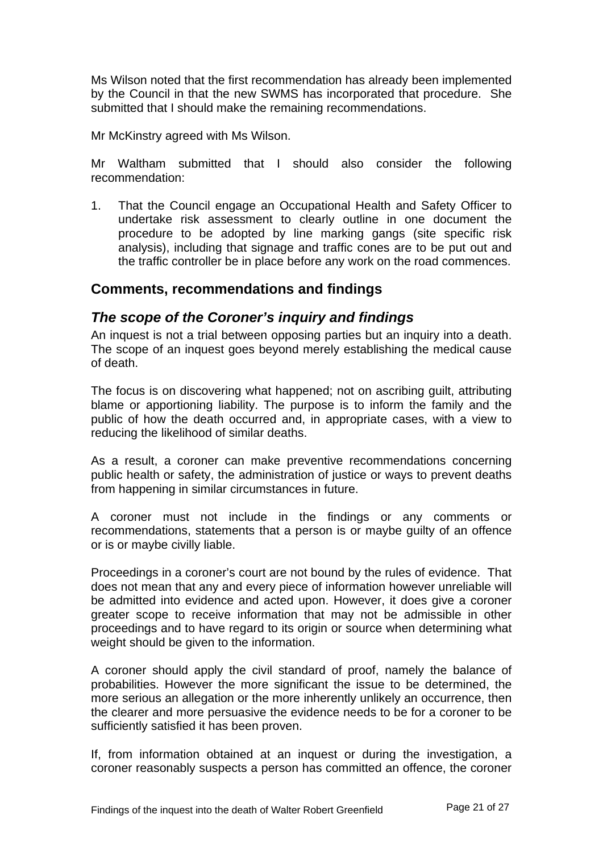Ms Wilson noted that the first recommendation has already been implemented by the Council in that the new SWMS has incorporated that procedure. She submitted that I should make the remaining recommendations.

Mr McKinstry agreed with Ms Wilson.

Mr Waltham submitted that I should also consider the following recommendation:

1. That the Council engage an Occupational Health and Safety Officer to undertake risk assessment to clearly outline in one document the procedure to be adopted by line marking gangs (site specific risk analysis), including that signage and traffic cones are to be put out and the traffic controller be in place before any work on the road commences.

## **Comments, recommendations and findings**

#### *The scope of the Coroner's inquiry and findings*

An inquest is not a trial between opposing parties but an inquiry into a death. The scope of an inquest goes beyond merely establishing the medical cause of death.

The focus is on discovering what happened; not on ascribing guilt, attributing blame or apportioning liability. The purpose is to inform the family and the public of how the death occurred and, in appropriate cases, with a view to reducing the likelihood of similar deaths.

As a result, a coroner can make preventive recommendations concerning public health or safety, the administration of justice or ways to prevent deaths from happening in similar circumstances in future.

A coroner must not include in the findings or any comments or recommendations, statements that a person is or maybe guilty of an offence or is or maybe civilly liable.

Proceedings in a coroner's court are not bound by the rules of evidence. That does not mean that any and every piece of information however unreliable will be admitted into evidence and acted upon. However, it does give a coroner greater scope to receive information that may not be admissible in other proceedings and to have regard to its origin or source when determining what weight should be given to the information.

A coroner should apply the civil standard of proof, namely the balance of probabilities. However the more significant the issue to be determined, the more serious an allegation or the more inherently unlikely an occurrence, then the clearer and more persuasive the evidence needs to be for a coroner to be sufficiently satisfied it has been proven.

If, from information obtained at an inquest or during the investigation, a coroner reasonably suspects a person has committed an offence, the coroner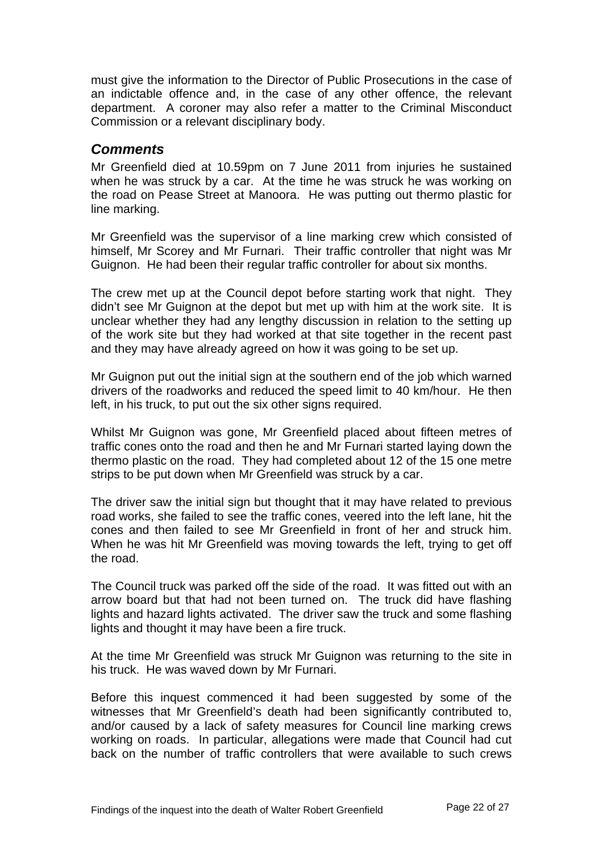must give the information to the Director of Public Prosecutions in the case of an indictable offence and, in the case of any other offence, the relevant department. A coroner may also refer a matter to the Criminal Misconduct Commission or a relevant disciplinary body.

#### *Comments*

Mr Greenfield died at 10.59pm on 7 June 2011 from injuries he sustained when he was struck by a car. At the time he was struck he was working on the road on Pease Street at Manoora. He was putting out thermo plastic for line marking.

Mr Greenfield was the supervisor of a line marking crew which consisted of himself, Mr Scorey and Mr Furnari. Their traffic controller that night was Mr Guignon. He had been their regular traffic controller for about six months.

The crew met up at the Council depot before starting work that night. They didn't see Mr Guignon at the depot but met up with him at the work site. It is unclear whether they had any lengthy discussion in relation to the setting up of the work site but they had worked at that site together in the recent past and they may have already agreed on how it was going to be set up.

Mr Guignon put out the initial sign at the southern end of the job which warned drivers of the roadworks and reduced the speed limit to 40 km/hour. He then left, in his truck, to put out the six other signs required.

Whilst Mr Guignon was gone, Mr Greenfield placed about fifteen metres of traffic cones onto the road and then he and Mr Furnari started laying down the thermo plastic on the road. They had completed about 12 of the 15 one metre strips to be put down when Mr Greenfield was struck by a car.

The driver saw the initial sign but thought that it may have related to previous road works, she failed to see the traffic cones, veered into the left lane, hit the cones and then failed to see Mr Greenfield in front of her and struck him. When he was hit Mr Greenfield was moving towards the left, trying to get off the road.

The Council truck was parked off the side of the road. It was fitted out with an arrow board but that had not been turned on. The truck did have flashing lights and hazard lights activated. The driver saw the truck and some flashing lights and thought it may have been a fire truck.

At the time Mr Greenfield was struck Mr Guignon was returning to the site in his truck. He was waved down by Mr Furnari.

Before this inquest commenced it had been suggested by some of the witnesses that Mr Greenfield's death had been significantly contributed to, and/or caused by a lack of safety measures for Council line marking crews working on roads. In particular, allegations were made that Council had cut back on the number of traffic controllers that were available to such crews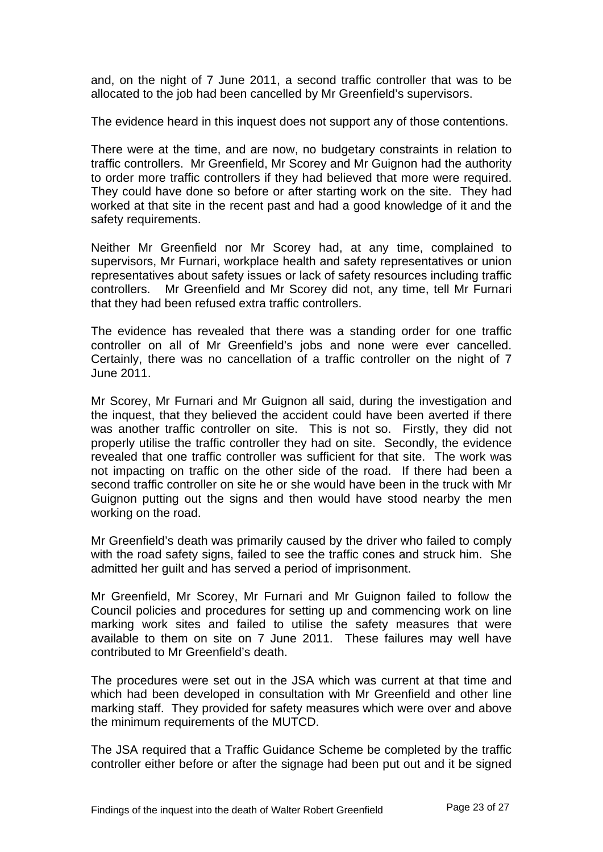and, on the night of 7 June 2011, a second traffic controller that was to be allocated to the job had been cancelled by Mr Greenfield's supervisors.

The evidence heard in this inquest does not support any of those contentions.

There were at the time, and are now, no budgetary constraints in relation to traffic controllers. Mr Greenfield, Mr Scorey and Mr Guignon had the authority to order more traffic controllers if they had believed that more were required. They could have done so before or after starting work on the site. They had worked at that site in the recent past and had a good knowledge of it and the safety requirements.

Neither Mr Greenfield nor Mr Scorey had, at any time, complained to supervisors, Mr Furnari, workplace health and safety representatives or union representatives about safety issues or lack of safety resources including traffic controllers. Mr Greenfield and Mr Scorey did not, any time, tell Mr Furnari that they had been refused extra traffic controllers.

The evidence has revealed that there was a standing order for one traffic controller on all of Mr Greenfield's jobs and none were ever cancelled. Certainly, there was no cancellation of a traffic controller on the night of 7 June 2011.

Mr Scorey, Mr Furnari and Mr Guignon all said, during the investigation and the inquest, that they believed the accident could have been averted if there was another traffic controller on site. This is not so. Firstly, they did not properly utilise the traffic controller they had on site. Secondly, the evidence revealed that one traffic controller was sufficient for that site. The work was not impacting on traffic on the other side of the road. If there had been a second traffic controller on site he or she would have been in the truck with Mr Guignon putting out the signs and then would have stood nearby the men working on the road.

Mr Greenfield's death was primarily caused by the driver who failed to comply with the road safety signs, failed to see the traffic cones and struck him. She admitted her guilt and has served a period of imprisonment.

Mr Greenfield, Mr Scorey, Mr Furnari and Mr Guignon failed to follow the Council policies and procedures for setting up and commencing work on line marking work sites and failed to utilise the safety measures that were available to them on site on 7 June 2011. These failures may well have contributed to Mr Greenfield's death.

The procedures were set out in the JSA which was current at that time and which had been developed in consultation with Mr Greenfield and other line marking staff. They provided for safety measures which were over and above the minimum requirements of the MUTCD.

The JSA required that a Traffic Guidance Scheme be completed by the traffic controller either before or after the signage had been put out and it be signed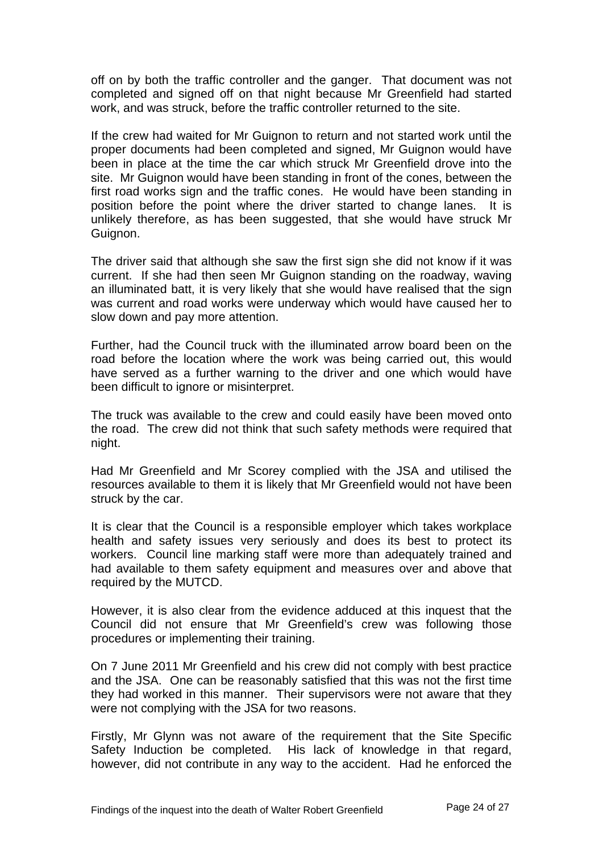off on by both the traffic controller and the ganger. That document was not completed and signed off on that night because Mr Greenfield had started work, and was struck, before the traffic controller returned to the site.

If the crew had waited for Mr Guignon to return and not started work until the proper documents had been completed and signed, Mr Guignon would have been in place at the time the car which struck Mr Greenfield drove into the site. Mr Guignon would have been standing in front of the cones, between the first road works sign and the traffic cones. He would have been standing in position before the point where the driver started to change lanes. It is unlikely therefore, as has been suggested, that she would have struck Mr Guignon.

The driver said that although she saw the first sign she did not know if it was current. If she had then seen Mr Guignon standing on the roadway, waving an illuminated batt, it is very likely that she would have realised that the sign was current and road works were underway which would have caused her to slow down and pay more attention.

Further, had the Council truck with the illuminated arrow board been on the road before the location where the work was being carried out, this would have served as a further warning to the driver and one which would have been difficult to ignore or misinterpret.

The truck was available to the crew and could easily have been moved onto the road. The crew did not think that such safety methods were required that night.

Had Mr Greenfield and Mr Scorey complied with the JSA and utilised the resources available to them it is likely that Mr Greenfield would not have been struck by the car.

It is clear that the Council is a responsible employer which takes workplace health and safety issues very seriously and does its best to protect its workers. Council line marking staff were more than adequately trained and had available to them safety equipment and measures over and above that required by the MUTCD.

However, it is also clear from the evidence adduced at this inquest that the Council did not ensure that Mr Greenfield's crew was following those procedures or implementing their training.

On 7 June 2011 Mr Greenfield and his crew did not comply with best practice and the JSA. One can be reasonably satisfied that this was not the first time they had worked in this manner. Their supervisors were not aware that they were not complying with the JSA for two reasons.

Firstly, Mr Glynn was not aware of the requirement that the Site Specific Safety Induction be completed. His lack of knowledge in that regard, however, did not contribute in any way to the accident. Had he enforced the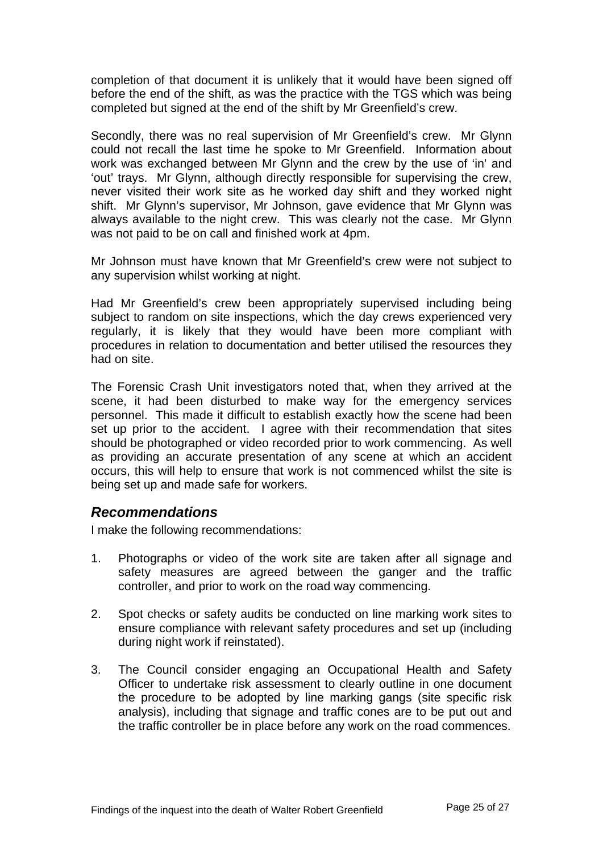completion of that document it is unlikely that it would have been signed off before the end of the shift, as was the practice with the TGS which was being completed but signed at the end of the shift by Mr Greenfield's crew.

Secondly, there was no real supervision of Mr Greenfield's crew. Mr Glynn could not recall the last time he spoke to Mr Greenfield. Information about work was exchanged between Mr Glynn and the crew by the use of 'in' and 'out' trays. Mr Glynn, although directly responsible for supervising the crew, never visited their work site as he worked day shift and they worked night shift. Mr Glynn's supervisor, Mr Johnson, gave evidence that Mr Glynn was always available to the night crew. This was clearly not the case. Mr Glynn was not paid to be on call and finished work at 4pm.

Mr Johnson must have known that Mr Greenfield's crew were not subject to any supervision whilst working at night.

Had Mr Greenfield's crew been appropriately supervised including being subject to random on site inspections, which the day crews experienced very regularly, it is likely that they would have been more compliant with procedures in relation to documentation and better utilised the resources they had on site.

The Forensic Crash Unit investigators noted that, when they arrived at the scene, it had been disturbed to make way for the emergency services personnel. This made it difficult to establish exactly how the scene had been set up prior to the accident. I agree with their recommendation that sites should be photographed or video recorded prior to work commencing. As well as providing an accurate presentation of any scene at which an accident occurs, this will help to ensure that work is not commenced whilst the site is being set up and made safe for workers.

#### *Recommendations*

I make the following recommendations:

- 1. Photographs or video of the work site are taken after all signage and safety measures are agreed between the ganger and the traffic controller, and prior to work on the road way commencing.
- 2. Spot checks or safety audits be conducted on line marking work sites to ensure compliance with relevant safety procedures and set up (including during night work if reinstated).
- 3. The Council consider engaging an Occupational Health and Safety Officer to undertake risk assessment to clearly outline in one document the procedure to be adopted by line marking gangs (site specific risk analysis), including that signage and traffic cones are to be put out and the traffic controller be in place before any work on the road commences.